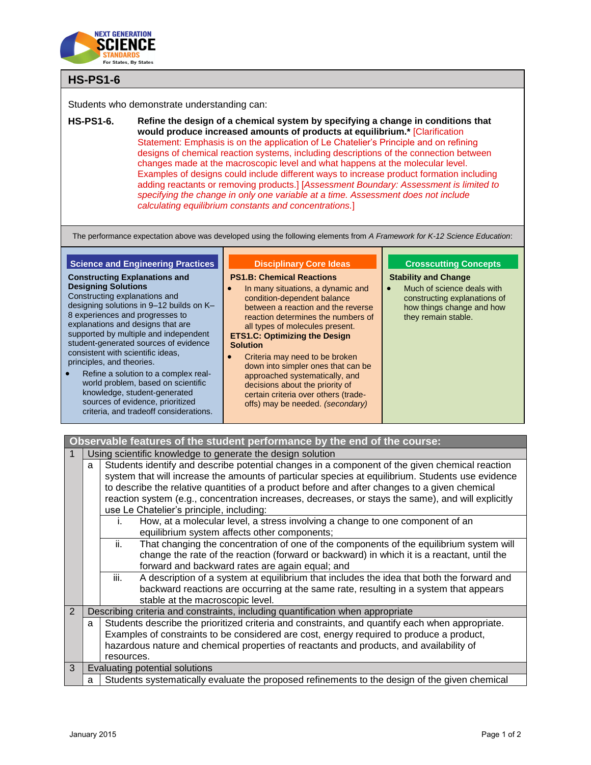

# **HS-PS1-6**

Students who demonstrate understanding can:

**HS-PS1-6. Refine the design of a chemical system by specifying a change in conditions that would produce increased amounts of products at equilibrium.\*** [Clarification Statement: Emphasis is on the application of Le Chatelier's Principle and on refining designs of chemical reaction systems, including descriptions of the connection between changes made at the macroscopic level and what happens at the molecular level. Examples of designs could include different ways to increase product formation including adding reactants or removing products.] [*Assessment Boundary: Assessment is limited to specifying the change in only one variable at a time. Assessment does not include calculating equilibrium constants and concentrations.*]

The performance expectation above was developed using the following elements from *A Framework for K-12 Science Education*:

## **Science and Engineering Practices**

#### **Constructing Explanations and Designing Solutions**

Constructing explanations and designing solutions in 9–12 builds on K– 8 experiences and progresses to explanations and designs that are supported by multiple and independent student-generated sources of evidence consistent with scientific ideas, principles, and theories.

 Refine a solution to a complex realworld problem, based on scientific knowledge, student-generated sources of evidence, prioritized criteria, and tradeoff considerations.

## **Disciplinary Core Ideas**

#### **PS1.B: Chemical Reactions**

- In many situations, a dynamic and condition-dependent balance between a reaction and the reverse reaction determines the numbers of all types of molecules present. **ETS1.C: Optimizing the Design Solution**
- Criteria may need to be broken down into simpler ones that can be approached systematically, and decisions about the priority of certain criteria over others (tradeoffs) may be needed. *(secondary)*

## **Crosscutting Concepts**

#### **Stability and Change**

 Much of science deals with constructing explanations of how things change and how they remain stable.

| Observable features of the student performance by the end of the course: |   |                                                                                                    |  |  |
|--------------------------------------------------------------------------|---|----------------------------------------------------------------------------------------------------|--|--|
|                                                                          |   | Using scientific knowledge to generate the design solution                                         |  |  |
|                                                                          | a | Students identify and describe potential changes in a component of the given chemical reaction     |  |  |
|                                                                          |   | system that will increase the amounts of particular species at equilibrium. Students use evidence  |  |  |
|                                                                          |   | to describe the relative quantities of a product before and after changes to a given chemical      |  |  |
|                                                                          |   | reaction system (e.g., concentration increases, decreases, or stays the same), and will explicitly |  |  |
|                                                                          |   | use Le Chatelier's principle, including:                                                           |  |  |
|                                                                          |   | How, at a molecular level, a stress involving a change to one component of an<br>İ.                |  |  |
|                                                                          |   | equilibrium system affects other components;                                                       |  |  |
|                                                                          |   | That changing the concentration of one of the components of the equilibrium system will<br>ii.     |  |  |
|                                                                          |   | change the rate of the reaction (forward or backward) in which it is a reactant, until the         |  |  |
|                                                                          |   | forward and backward rates are again equal; and                                                    |  |  |
|                                                                          |   | iii.<br>A description of a system at equilibrium that includes the idea that both the forward and  |  |  |
|                                                                          |   | backward reactions are occurring at the same rate, resulting in a system that appears              |  |  |
|                                                                          |   | stable at the macroscopic level.                                                                   |  |  |
| $\overline{2}$                                                           |   | Describing criteria and constraints, including quantification when appropriate                     |  |  |
|                                                                          | a | Students describe the prioritized criteria and constraints, and quantify each when appropriate.    |  |  |
|                                                                          |   | Examples of constraints to be considered are cost, energy required to produce a product,           |  |  |
|                                                                          |   | hazardous nature and chemical properties of reactants and products, and availability of            |  |  |
|                                                                          |   | resources.                                                                                         |  |  |
| 3                                                                        |   | Evaluating potential solutions                                                                     |  |  |
|                                                                          | a | Students systematically evaluate the proposed refinements to the design of the given chemical      |  |  |